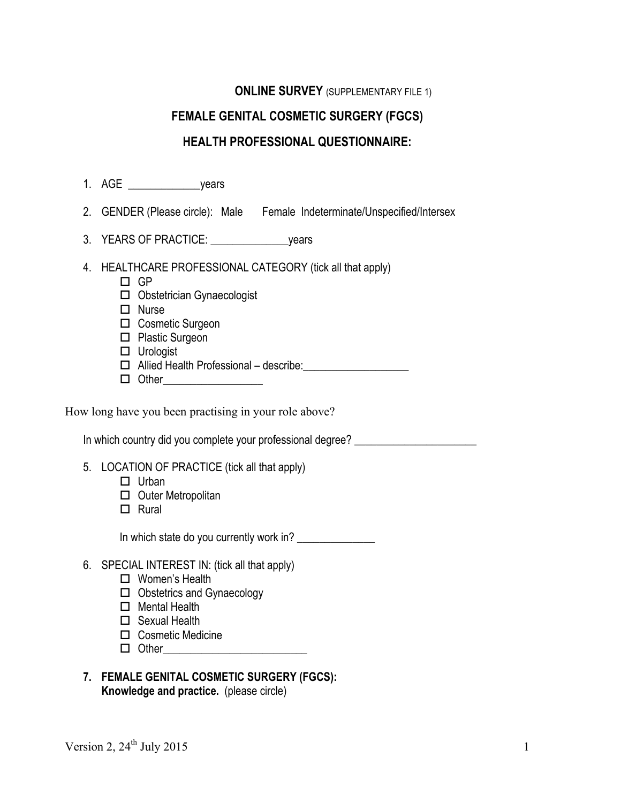## **ONLINE SURVEY** (SUPPLEMENTARY FILE 1)

# **FEMALE GENITAL COSMETIC SURGERY (FGCS)**

## **HEALTH PROFESSIONAL QUESTIONNAIRE:**

1. AGE \_\_\_\_\_\_\_\_\_\_\_\_\_years

- 2. GENDER (Please circle): Male Female Indeterminate/Unspecified/Intersex
- 3. YEARS OF PRACTICE: \_\_\_\_\_\_\_\_\_\_\_\_\_\_years
- 4. HEALTHCARE PROFESSIONAL CATEGORY (tick all that apply)
	- $\Box$  GP
	- $\square$  Obstetrician Gynaecologist
	- $\square$  Nurse
	- $\square$  Cosmetic Surgeon
	- $\square$  Plastic Surgeon
	- $\Box$  Urologist
	- $\Box$  Allied Health Professional describe:
	- $\Box$  Other

How long have you been practising in your role above?

In which country did you complete your professional degree? \_\_\_\_\_\_\_\_\_\_\_\_\_\_\_\_\_\_\_\_

- 5. LOCATION OF PRACTICE (tick all that apply)
	- $\square$  Urban
	- $\Box$  Outer Metropolitan
	- $\Box$  Rural

In which state do you currently work in? \_\_\_\_\_\_\_\_\_\_\_\_\_\_

- 6. SPECIAL INTEREST IN: (tick all that apply)
	- $\square$  Women's Health
	- $\square$  Obstetrics and Gynaecology
	- $\Box$  Mental Health
	- $\square$  Sexual Health
	- $\square$  Cosmetic Medicine
	- $\Box$  Other
- **7. FEMALE GENITAL COSMETIC SURGERY (FGCS): Knowledge and practice.** (please circle)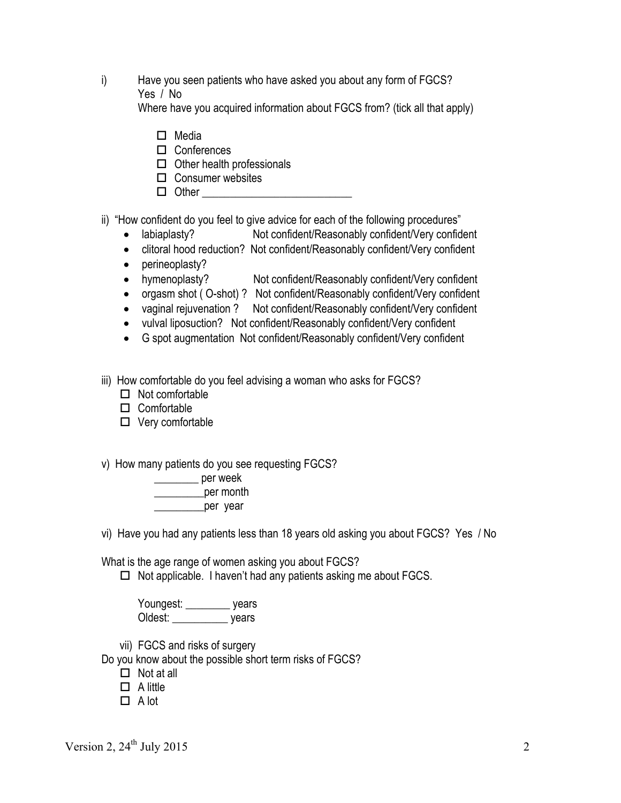i) Have you seen patients who have asked you about any form of FGCS? Yes / No

Where have you acquired information about FGCS from? (tick all that apply)

- $\Pi$  Media
- $\square$  Conferences
- $\Box$  Other health professionals
- $\square$  Consumer websites
- $\Box$  Other

ii) "How confident do you feel to give advice for each of the following procedures"

- labiaplasty? Not confident/Reasonably confident/Very confident
- clitoral hood reduction? Not confident/Reasonably confident/Very confident
- perineoplasty?
- hymenoplasty? Not confident/Reasonably confident/Very confident
- orgasm shot ( O-shot) ? Not confident/Reasonably confident/Very confident
- vaginal rejuvenation ? Not confident/Reasonably confident/Very confident
- vulval liposuction? Not confident/Reasonably confident/Very confident
- G spot augmentation Not confident/Reasonably confident/Very confident

iii) How comfortable do you feel advising a woman who asks for FGCS?

- $\Box$  Not comfortable
- $\square$  Comfortable
- $\Box$  Very comfortable
- v) How many patients do you see requesting FGCS?



vi) Have you had any patients less than 18 years old asking you about FGCS? Yes / No

What is the age range of women asking you about FGCS?

 $\Box$  Not applicable. I haven't had any patients asking me about FGCS.

Youngest: \_\_\_\_\_\_\_\_ years Oldest: \_\_\_\_\_\_\_\_\_\_ years

vii) FGCS and risks of surgery

Do you know about the possible short term risks of FGCS?

- $\Box$  Not at all
- $\Box$  A little
- $\Box$  A lot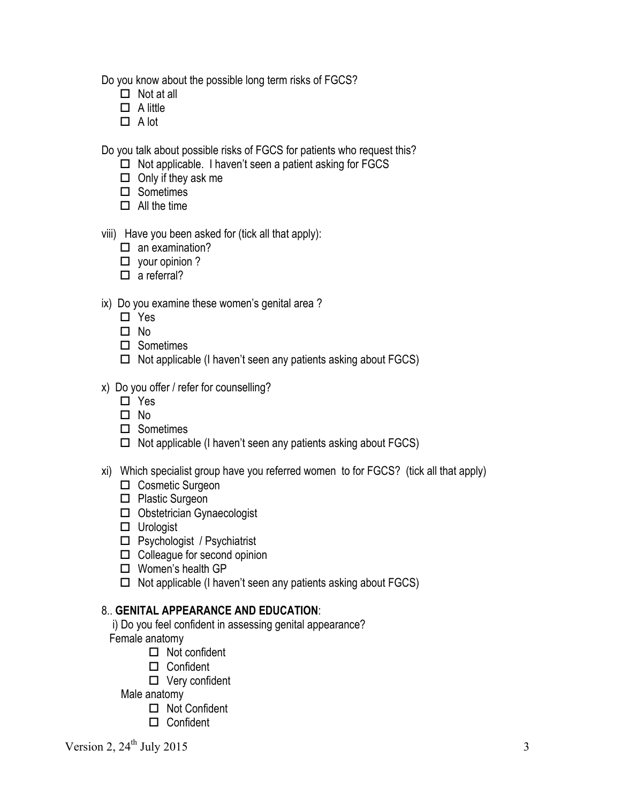Do you know about the possible long term risks of FGCS?

- $\Box$  Not at all
- $\Box$  A little
- $\Box$  A lot

Do you talk about possible risks of FGCS for patients who request this?

- $\Box$  Not applicable. I haven't seen a patient asking for FGCS
- $\Box$  Only if they ask me
- $\square$  Sometimes
- $\Box$  All the time

viii) Have you been asked for (tick all that apply):

- $\square$  an examination?
- $\Box$  your opinion ?
- $\Box$  a referral?
- ix) Do you examine these women's genital area ?
	- $\square$  Yes
	- $\square$  No
	- $\square$  Sometimes
	- $\square$  Not applicable (I haven't seen any patients asking about FGCS)
- x) Do you offer / refer for counselling?
	- $\square$  Yes
	- $\Pi$  No
	- $\square$  Sometimes
	- $\Box$  Not applicable (I haven't seen any patients asking about FGCS)
- xi) Which specialist group have you referred women to for FGCS? (tick all that apply)
	- $\Box$  Cosmetic Surgeon
	- $\square$  Plastic Surgeon
	- $\square$  Obstetrician Gynaecologist
	- $\square$  Urologist
	- $\square$  Psychologist / Psychiatrist
	- $\Box$  Colleague for second opinion
	- $\square$  Women's health GP
	- $\square$  Not applicable (I haven't seen any patients asking about FGCS)

## 8.. **GENITAL APPEARANCE AND EDUCATION**:

 i) Do you feel confident in assessing genital appearance? Female anatomy

- $\Box$  Not confident
- $\Box$  Confident
- $\Box$  Very confident
- Male anatomy
	- $\Box$  Not Confident
	- $\square$  Confident

Version 2,  $24^{\text{th}}$  July 2015 3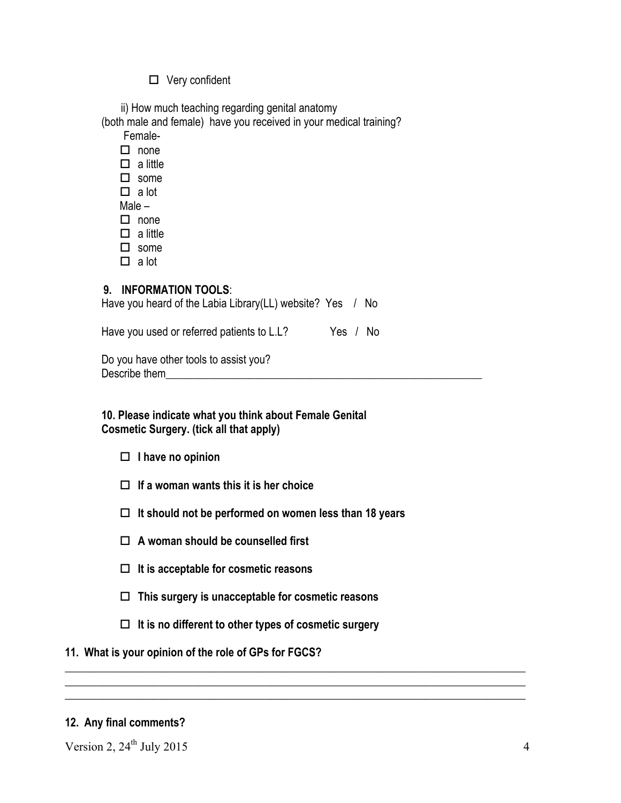### $\square$  Very confident

 ii) How much teaching regarding genital anatomy (both male and female) have you received in your medical training? Female- $\Box$  none  $\Box$  a little  $\square$  some  $\Box$  a lot Male –  $\Box$  none  $\Box$  a little  $\square$  some  $\Box$  a lot **9. INFORMATION TOOLS**: Have you heard of the Labia Library(LL) website? Yes / No Have you used or referred patients to L.L? Yes / No

Do you have other tools to assist you? Describe them

**10. Please indicate what you think about Female Genital Cosmetic Surgery. (tick all that apply)** 

- o **I have no opinion**
- $\Box$  If a woman wants this it is her choice
- □ It should not be performed on women less than 18 years
- □ A woman should be counselled first
- o **It is acceptable for cosmetic reasons**
- □ This surgery is unacceptable for cosmetic reasons
- □ It is no different to other types of cosmetic surgery

**\_\_\_\_\_\_\_\_\_\_\_\_\_\_\_\_\_\_\_\_\_\_\_\_\_\_\_\_\_\_\_\_\_\_\_\_\_\_\_\_\_\_\_\_\_\_\_\_\_\_\_\_\_\_\_\_\_\_\_\_\_\_\_\_\_\_\_\_\_\_\_\_\_\_\_\_\_\_\_\_\_\_\_ \_\_\_\_\_\_\_\_\_\_\_\_\_\_\_\_\_\_\_\_\_\_\_\_\_\_\_\_\_\_\_\_\_\_\_\_\_\_\_\_\_\_\_\_\_\_\_\_\_\_\_\_\_\_\_\_\_\_\_\_\_\_\_\_\_\_\_\_\_\_\_\_\_\_\_\_\_\_\_\_\_\_\_ \_\_\_\_\_\_\_\_\_\_\_\_\_\_\_\_\_\_\_\_\_\_\_\_\_\_\_\_\_\_\_\_\_\_\_\_\_\_\_\_\_\_\_\_\_\_\_\_\_\_\_\_\_\_\_\_\_\_\_\_\_\_\_\_\_\_\_\_\_\_\_\_\_\_\_\_\_\_\_\_\_\_\_**

#### **11. What is your opinion of the role of GPs for FGCS?**

#### **12. Any final comments?**

Version 2,  $24^{\text{th}}$  July 2015 4